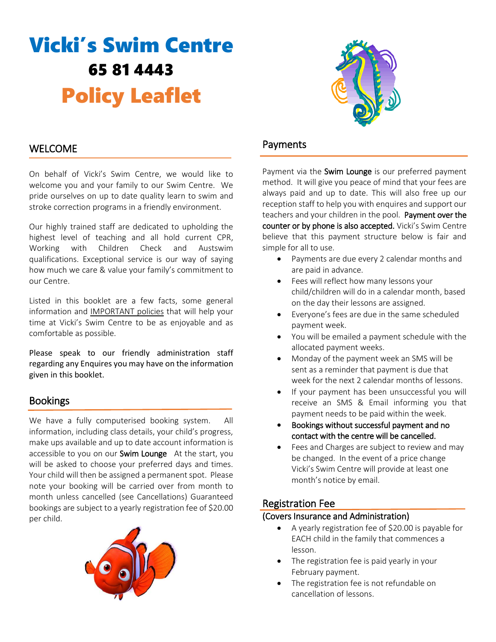# Vicki's Swim Centre 65 81 4443 Policy Leaflet



## WELCOME

On behalf of Vicki's Swim Centre, we would like to welcome you and your family to our Swim Centre. We pride ourselves on up to date quality learn to swim and stroke correction programs in a friendly environment.

Our highly trained staff are dedicated to upholding the highest level of teaching and all hold current CPR, Working with Children Check and Austswim qualifications. Exceptional service is our way of saying how much we care & value your family's commitment to our Centre.

Listed in this booklet are a few facts, some general information and IMPORTANT policies that will help your time at Vicki's Swim Centre to be as enjoyable and as comfortable as possible.

Please speak to our friendly administration staff regarding any Enquires you may have on the information given in this booklet.

# Bookings

We have a fully computerised booking system. All information, including class details, your child's progress, make ups available and up to date account information is accessible to you on our Swim Lounge At the start, you will be asked to choose your preferred days and times. Your child will then be assigned a permanent spot. Please note your booking will be carried over from month to month unless cancelled (see Cancellations) Guaranteed bookings are subject to a yearly registration fee of \$20.00 per child.



## Payments

Payment via the Swim Lounge is our preferred payment method. It will give you peace of mind that your fees are always paid and up to date. This will also free up our reception staff to help you with enquires and support our teachers and your children in the pool. Payment over the counter or by phone is also accepted. Vicki's Swim Centre believe that this payment structure below is fair and simple for all to use.

- Payments are due every 2 calendar months and are paid in advance.
- Fees will reflect how many lessons your child/children will do in a calendar month, based on the day their lessons are assigned.
- Everyone's fees are due in the same scheduled payment week.
- You will be emailed a payment schedule with the allocated payment weeks.
- Monday of the payment week an SMS will be sent as a reminder that payment is due that week for the next 2 calendar months of lessons.
- If your payment has been unsuccessful you will receive an SMS & Email informing you that payment needs to be paid within the week.
- Bookings without successful payment and no contact with the centre will be cancelled.
- Fees and Charges are subject to review and may be changed. In the event of a price change Vicki's Swim Centre will provide at least one month's notice by email.

## Registration Fee

#### (Covers Insurance and Administration)

- A yearly registration fee of \$20.00 is payable for EACH child in the family that commences a lesson.
- The registration fee is paid yearly in your February payment.
- The registration fee is not refundable on cancellation of lessons.